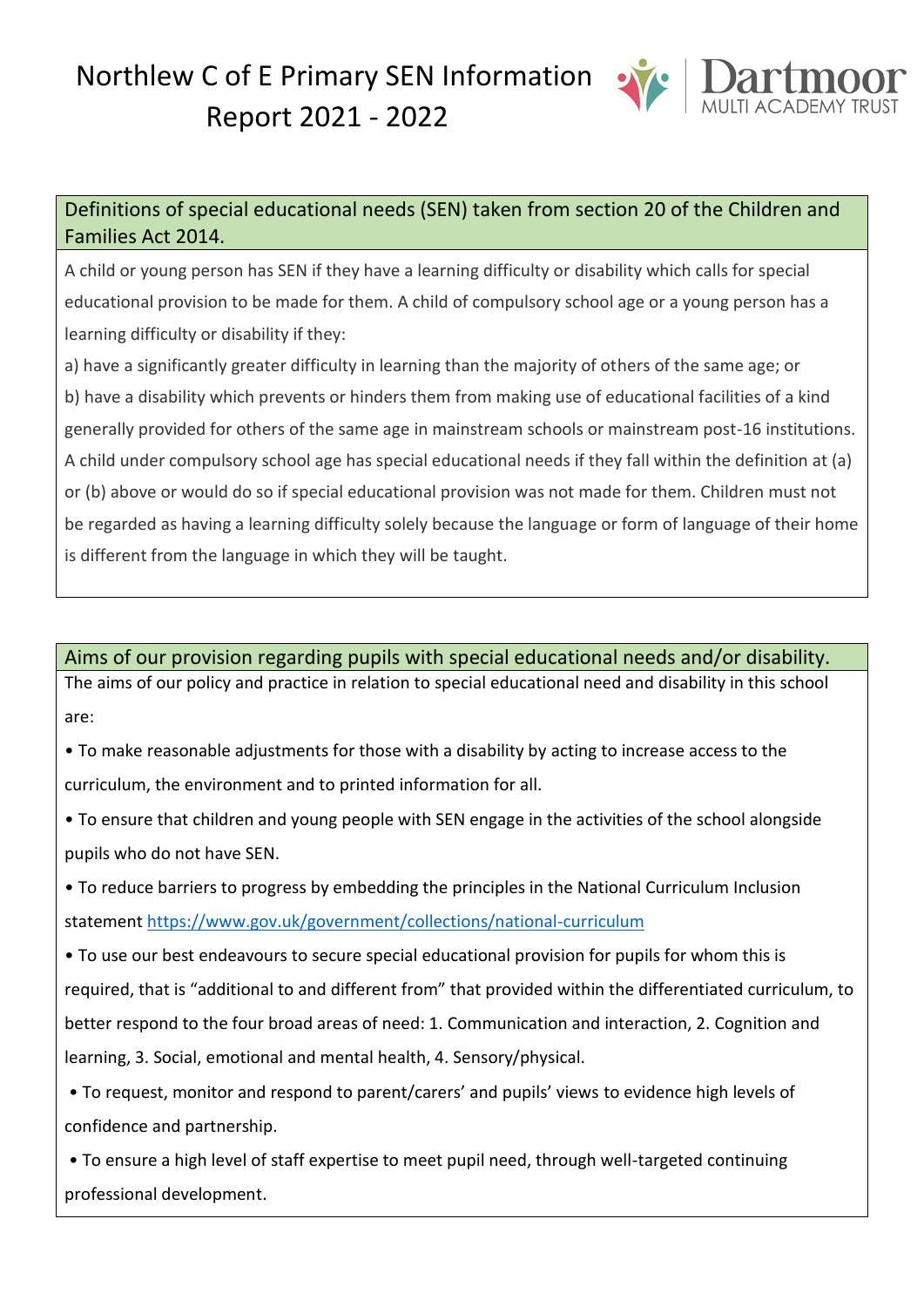# Northlew C of E Primary SEN Information Report 2021 - 2022



# Definitions of special educational needs (SEN) taken from section 20 of the Children and Families Act 2014.

A child or young person has SEN if they have a learning difficulty or disability which calls for special educational provision to be made for them. A child of compulsory school age or a young person has a learning difficulty or disability if they:

a) have a significantly greater difficulty in learning than the majority of others of the same age; or b) have a disability which prevents or hinders them from making use of educational facilities of a kind generally provided for others of the same age in mainstream schools or mainstream post-16 institutions. A child under compulsory school age has special educational needs if they fall within the definition at (a) or (b) above or would do so if special educational provision was not made for them. Children must not be regarded as having a learning difficulty solely because the language or form of language of their home is different from the language in which they will be taught.

# Aims of our provision regarding pupils with special educational needs and/or disability.

The aims of our policy and practice in relation to special educational need and disability in this school are:

• To make reasonable adjustments for those with a disability by acting to increase access to the curriculum, the environment and to printed information for all.

• To ensure that children and young people with SEN engage in the activities of the school alongside pupils who do not have SEN.

• To reduce barriers to progress by embedding the principles in the National Curriculum Inclusion statemen[t https://www.gov.uk/government/collections/national-curriculum](https://www.gov.uk/government/collections/national-curriculum)

• To use our best endeavours to secure special educational provision for pupils for whom this is required, that is "additional to and different from" that provided within the differentiated curriculum, to better respond to the four broad areas of need: 1. Communication and interaction, 2. Cognition and learning, 3. Social, emotional and mental health, 4. Sensory/physical.

• To request, monitor and respond to parent/carers' and pupils' views to evidence high levels of confidence and partnership.

• To ensure a high level of staff expertise to meet pupil need, through well-targeted continuing professional development.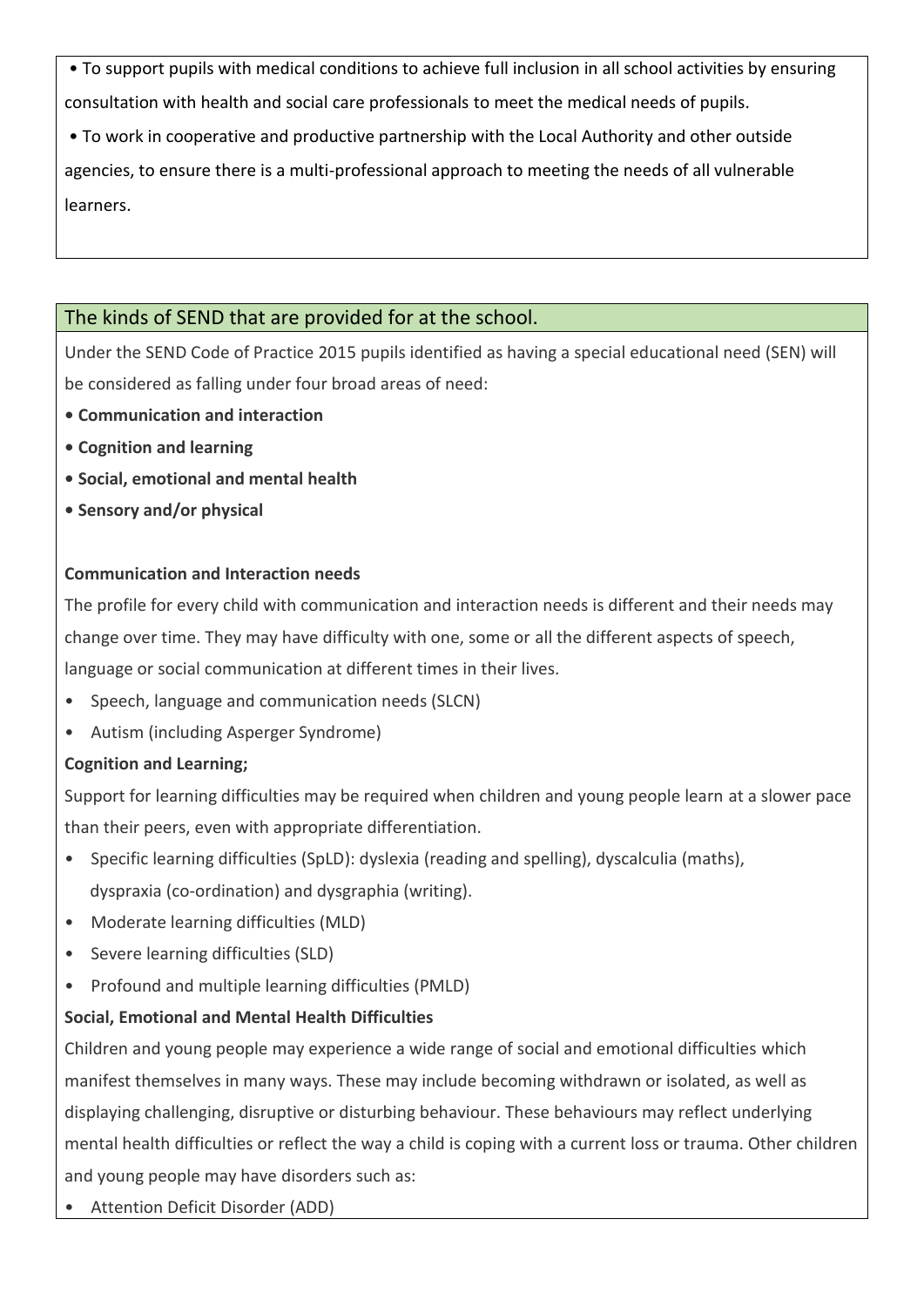• To support pupils with medical conditions to achieve full inclusion in all school activities by ensuring consultation with health and social care professionals to meet the medical needs of pupils.

• To work in cooperative and productive partnership with the Local Authority and other outside

agencies, to ensure there is a multi-professional approach to meeting the needs of all vulnerable learners.

# The kinds of SEND that are provided for at the school.

Under the SEND Code of Practice 2015 pupils identified as having a special educational need (SEN) will be considered as falling under four broad areas of need:

- **Communication and interaction**
- **Cognition and learning**
- **Social, emotional and mental health**
- **Sensory and/or physical**

### **Communication and Interaction needs**

The profile for every child with communication and interaction needs is different and their needs may change over time. They may have difficulty with one, some or all the different aspects of speech, language or social communication at different times in their lives.

- Speech, language and communication needs (SLCN)
- Autism (including Asperger Syndrome)

# **Cognition and Learning;**

Support for learning difficulties may be required when children and young people learn at a slower pace than their peers, even with appropriate differentiation.

- Specific learning difficulties (SpLD): dyslexia (reading and spelling), dyscalculia (maths), dyspraxia (co-ordination) and dysgraphia (writing).
- Moderate learning difficulties (MLD)
- Severe learning difficulties (SLD)
- Profound and multiple learning difficulties (PMLD)

# **Social, Emotional and Mental Health Difficulties**

Children and young people may experience a wide range of social and emotional difficulties which manifest themselves in many ways. These may include becoming withdrawn or isolated, as well as displaying challenging, disruptive or disturbing behaviour. These behaviours may reflect underlying mental health difficulties or reflect the way a child is coping with a current loss or trauma. Other children and young people may have disorders such as:

• Attention Deficit Disorder (ADD)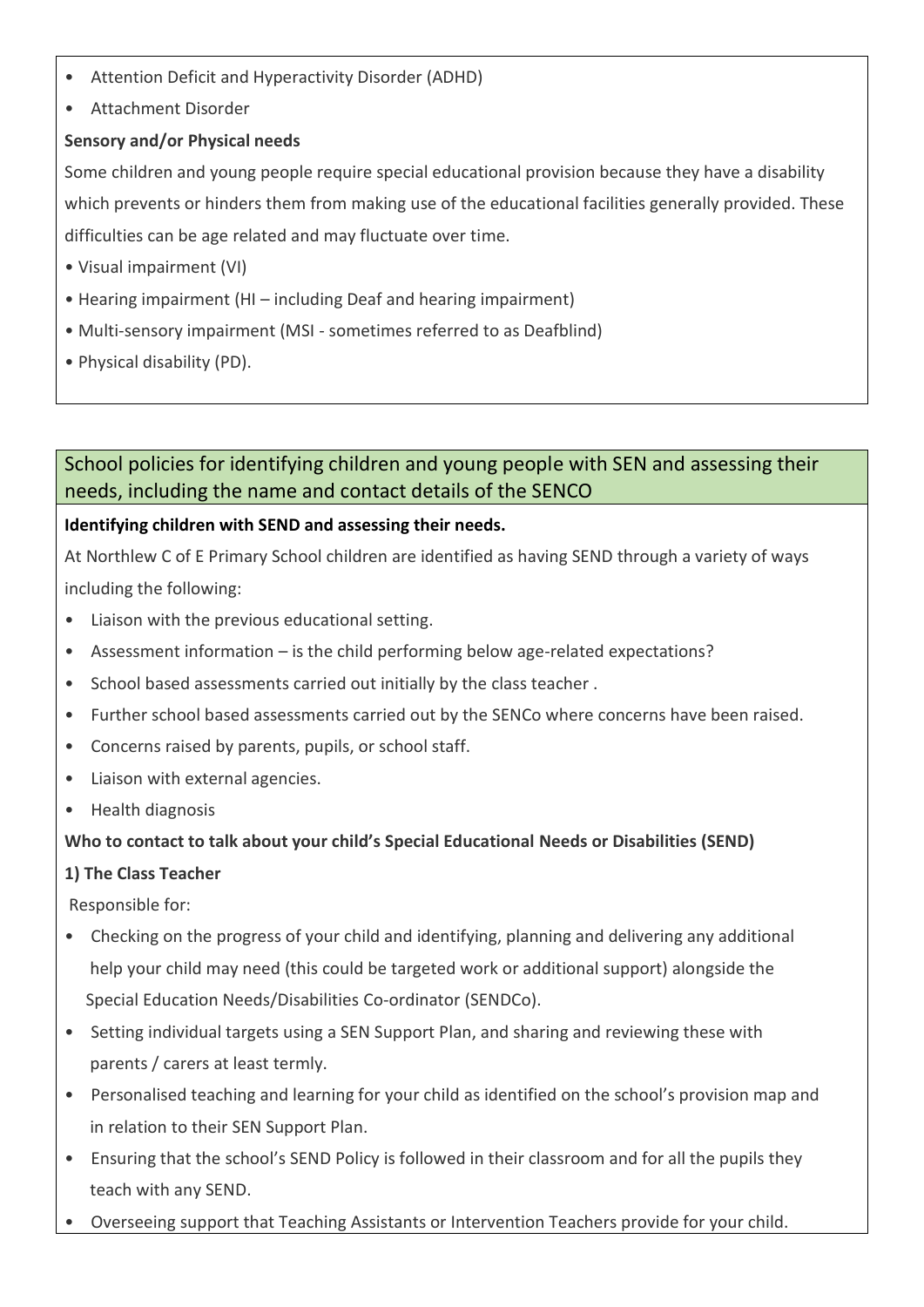- Attention Deficit and Hyperactivity Disorder (ADHD)
- Attachment Disorder

#### **Sensory and/or Physical needs**

Some children and young people require special educational provision because they have a disability which prevents or hinders them from making use of the educational facilities generally provided. These difficulties can be age related and may fluctuate over time.

- Visual impairment (VI)
- Hearing impairment (HI including Deaf and hearing impairment)
- Multi-sensory impairment (MSI sometimes referred to as Deafblind)
- Physical disability (PD).

### School policies for identifying children and young people with SEN and assessing their needs, including the name and contact details of the SENCO

#### **Identifying children with SEND and assessing their needs.**

At Northlew C of E Primary School children are identified as having SEND through a variety of ways including the following:

- Liaison with the previous educational setting.
- Assessment information is the child performing below age-related expectations?
- School based assessments carried out initially by the class teacher .
- Further school based assessments carried out by the SENCo where concerns have been raised.
- Concerns raised by parents, pupils, or school staff.
- Liaison with external agencies.
- Health diagnosis

#### **Who to contact to talk about your child's Special Educational Needs or Disabilities (SEND)**

#### **1) The Class Teacher**

Responsible for:

- Checking on the progress of your child and identifying, planning and delivering any additional help your child may need (this could be targeted work or additional support) alongside the Special Education Needs/Disabilities Co-ordinator (SENDCo).
- Setting individual targets using a SEN Support Plan, and sharing and reviewing these with parents / carers at least termly.
- Personalised teaching and learning for your child as identified on the school's provision map and in relation to their SEN Support Plan.
- Ensuring that the school's SEND Policy is followed in their classroom and for all the pupils they teach with any SEND.
- Overseeing support that Teaching Assistants or Intervention Teachers provide for your child.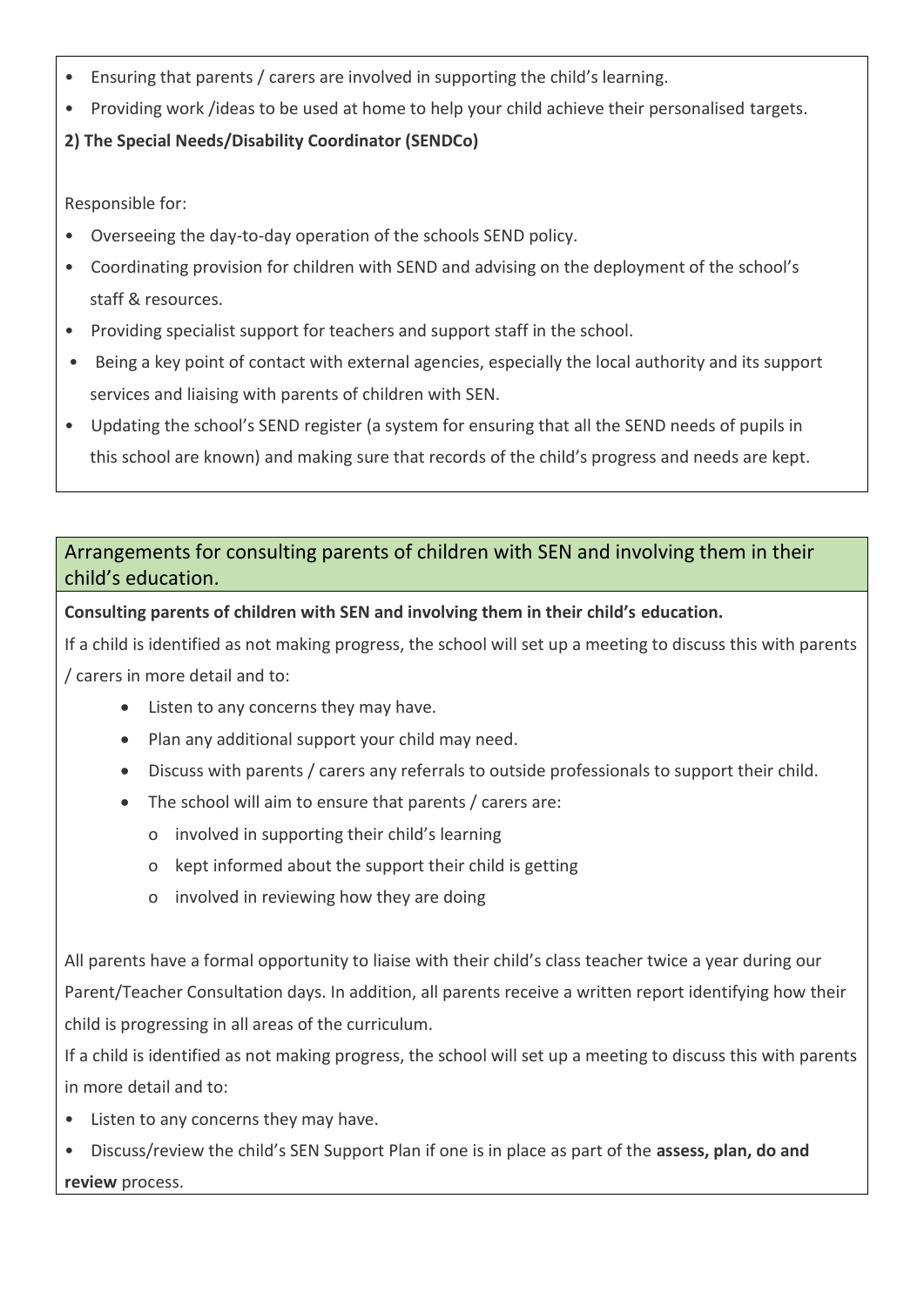- Ensuring that parents / carers are involved in supporting the child's learning.
- Providing work /ideas to be used at home to help your child achieve their personalised targets.

### **2) The Special Needs/Disability Coordinator (SENDCo)**

Responsible for:

- Overseeing the day-to-day operation of the schools SEND policy.
- Coordinating provision for children with SEND and advising on the deployment of the school's staff & resources.
- Providing specialist support for teachers and support staff in the school.
- Being a key point of contact with external agencies, especially the local authority and its support services and liaising with parents of children with SEN.
- Updating the school's SEND register (a system for ensuring that all the SEND needs of pupils in this school are known) and making sure that records of the child's progress and needs are kept.

# Arrangements for consulting parents of children with SEN and involving them in their child's education.

### **Consulting parents of children with SEN and involving them in their child's education.**

If a child is identified as not making progress, the school will set up a meeting to discuss this with parents / carers in more detail and to:

- Listen to any concerns they may have.
- Plan any additional support your child may need.
- Discuss with parents / carers any referrals to outside professionals to support their child.
- The school will aim to ensure that parents / carers are:
	- o involved in supporting their child's learning
	- o kept informed about the support their child is getting
	- o involved in reviewing how they are doing

All parents have a formal opportunity to liaise with their child's class teacher twice a year during our Parent/Teacher Consultation days. In addition, all parents receive a written report identifying how their child is progressing in all areas of the curriculum.

If a child is identified as not making progress, the school will set up a meeting to discuss this with parents in more detail and to:

- Listen to any concerns they may have.
- Discuss/review the child's SEN Support Plan if one is in place as part of the **assess, plan, do and review** process.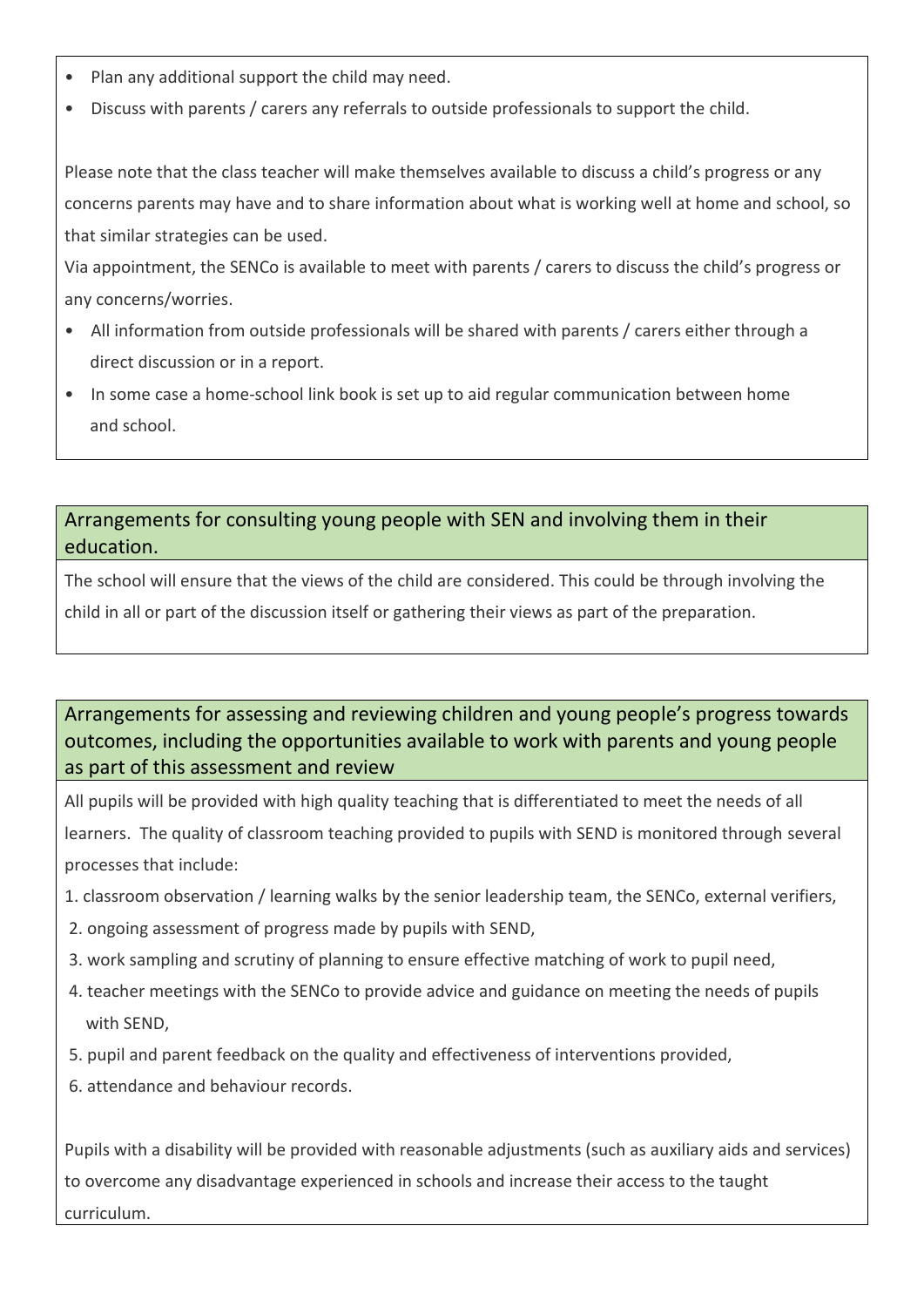- Plan any additional support the child may need.
- Discuss with parents / carers any referrals to outside professionals to support the child.

Please note that the class teacher will make themselves available to discuss a child's progress or any concerns parents may have and to share information about what is working well at home and school, so that similar strategies can be used.

Via appointment, the SENCo is available to meet with parents / carers to discuss the child's progress or any concerns/worries.

- All information from outside professionals will be shared with parents / carers either through a direct discussion or in a report.
- In some case a home-school link book is set up to aid regular communication between home and school.

### Arrangements for consulting young people with SEN and involving them in their education.

The school will ensure that the views of the child are considered. This could be through involving the child in all or part of the discussion itself or gathering their views as part of the preparation.

# Arrangements for assessing and reviewing children and young people's progress towards outcomes, including the opportunities available to work with parents and young people as part of this assessment and review

All pupils will be provided with high quality teaching that is differentiated to meet the needs of all learners. The quality of classroom teaching provided to pupils with SEND is monitored through several processes that include:

- 1. classroom observation / learning walks by the senior leadership team, the SENCo, external verifiers,
- 2. ongoing assessment of progress made by pupils with SEND,
- 3. work sampling and scrutiny of planning to ensure effective matching of work to pupil need,
- 4. teacher meetings with the SENCo to provide advice and guidance on meeting the needs of pupils with SEND,
- 5. pupil and parent feedback on the quality and effectiveness of interventions provided,
- 6. attendance and behaviour records.

Pupils with a disability will be provided with reasonable adjustments (such as auxiliary aids and services) to overcome any disadvantage experienced in schools and increase their access to the taught curriculum.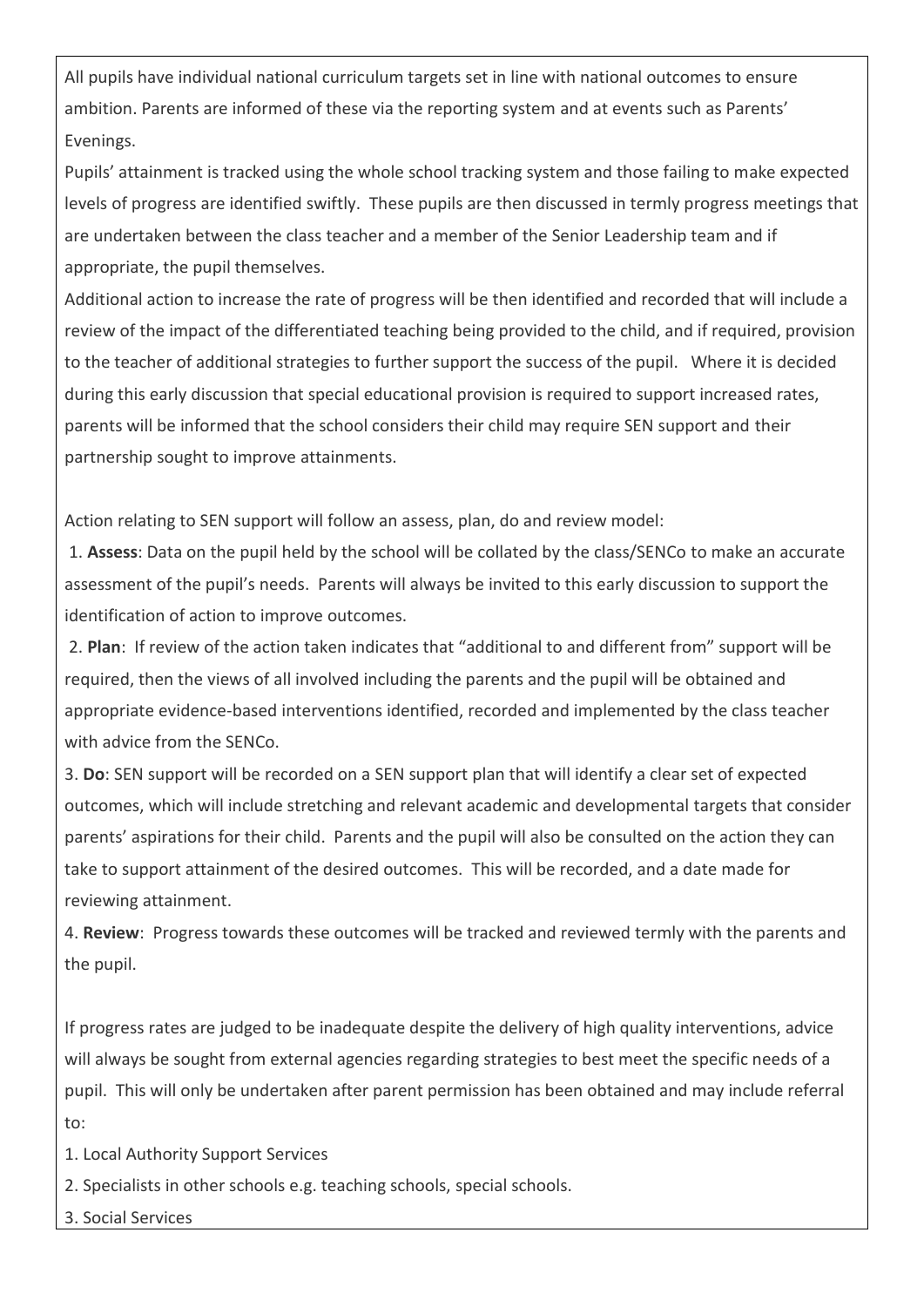All pupils have individual national curriculum targets set in line with national outcomes to ensure ambition. Parents are informed of these via the reporting system and at events such as Parents' Evenings.

Pupils' attainment is tracked using the whole school tracking system and those failing to make expected levels of progress are identified swiftly. These pupils are then discussed in termly progress meetings that are undertaken between the class teacher and a member of the Senior Leadership team and if appropriate, the pupil themselves.

Additional action to increase the rate of progress will be then identified and recorded that will include a review of the impact of the differentiated teaching being provided to the child, and if required, provision to the teacher of additional strategies to further support the success of the pupil. Where it is decided during this early discussion that special educational provision is required to support increased rates, parents will be informed that the school considers their child may require SEN support and their partnership sought to improve attainments.

Action relating to SEN support will follow an assess, plan, do and review model:

1. **Assess**: Data on the pupil held by the school will be collated by the class/SENCo to make an accurate assessment of the pupil's needs. Parents will always be invited to this early discussion to support the identification of action to improve outcomes.

2. **Plan**: If review of the action taken indicates that "additional to and different from" support will be required, then the views of all involved including the parents and the pupil will be obtained and appropriate evidence-based interventions identified, recorded and implemented by the class teacher with advice from the SENCo.

3. **Do**: SEN support will be recorded on a SEN support plan that will identify a clear set of expected outcomes, which will include stretching and relevant academic and developmental targets that consider parents' aspirations for their child. Parents and the pupil will also be consulted on the action they can take to support attainment of the desired outcomes. This will be recorded, and a date made for reviewing attainment.

4. **Review**: Progress towards these outcomes will be tracked and reviewed termly with the parents and the pupil.

If progress rates are judged to be inadequate despite the delivery of high quality interventions, advice will always be sought from external agencies regarding strategies to best meet the specific needs of a pupil. This will only be undertaken after parent permission has been obtained and may include referral to:

1. Local Authority Support Services

2. Specialists in other schools e.g. teaching schools, special schools.

3. Social Services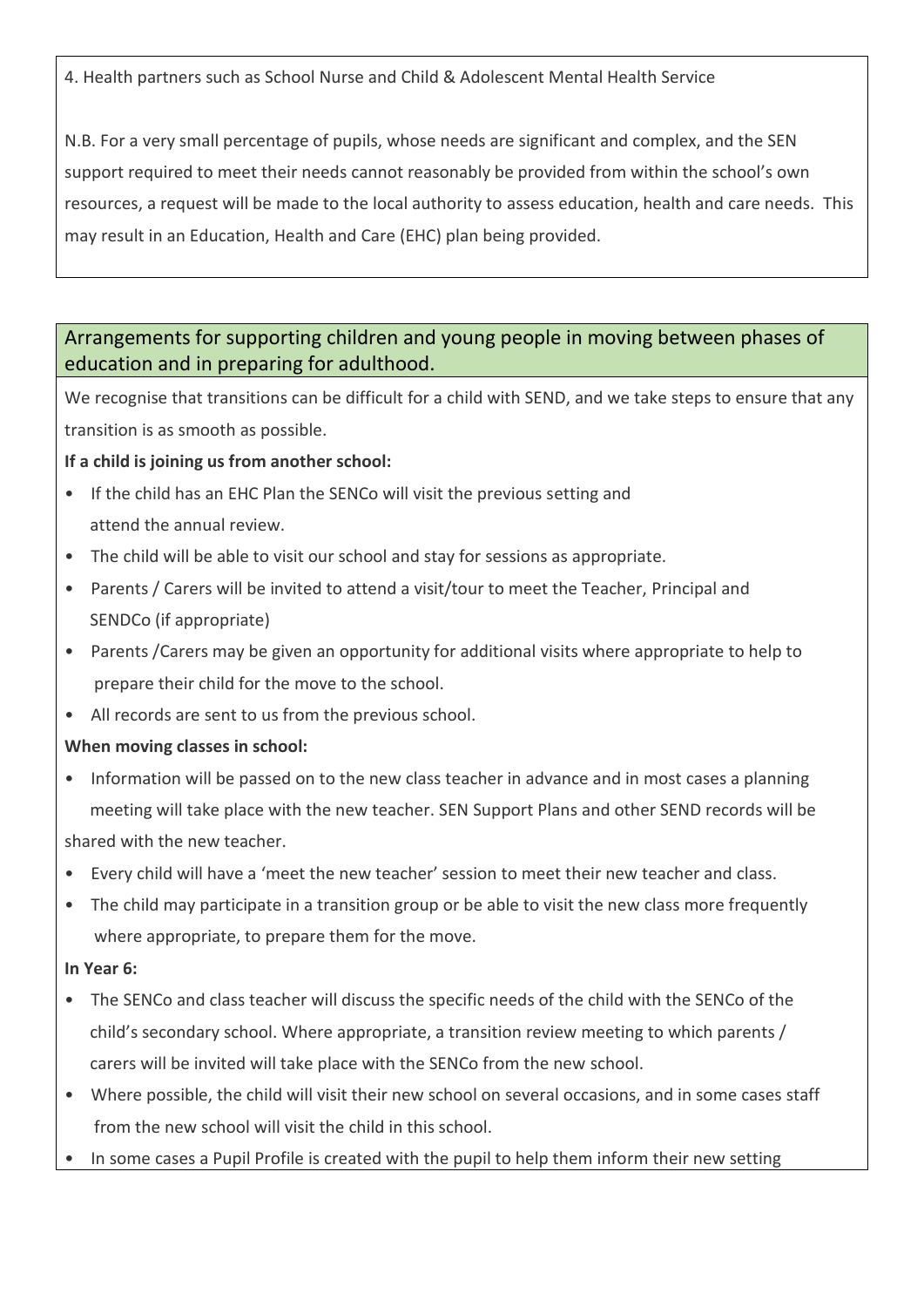4. Health partners such as School Nurse and Child & Adolescent Mental Health Service

N.B. For a very small percentage of pupils, whose needs are significant and complex, and the SEN support required to meet their needs cannot reasonably be provided from within the school's own resources, a request will be made to the local authority to assess education, health and care needs. This may result in an Education, Health and Care (EHC) plan being provided.

# Arrangements for supporting children and young people in moving between phases of education and in preparing for adulthood.

We recognise that transitions can be difficult for a child with SEND, and we take steps to ensure that any transition is as smooth as possible.

### **If a child is joining us from another school:**

- If the child has an EHC Plan the SENCo will visit the previous setting and attend the annual review.
- The child will be able to visit our school and stay for sessions as appropriate.
- Parents / Carers will be invited to attend a visit/tour to meet the Teacher, Principal and SENDCo (if appropriate)
- Parents /Carers may be given an opportunity for additional visits where appropriate to help to prepare their child for the move to the school.
- All records are sent to us from the previous school.

### **When moving classes in school:**

- Information will be passed on to the new class teacher in advance and in most cases a planning meeting will take place with the new teacher. SEN Support Plans and other SEND records will be shared with the new teacher.
- Every child will have a 'meet the new teacher' session to meet their new teacher and class.
- The child may participate in a transition group or be able to visit the new class more frequently where appropriate, to prepare them for the move.

#### **In Year 6:**

- The SENCo and class teacher will discuss the specific needs of the child with the SENCo of the child's secondary school. Where appropriate, a transition review meeting to which parents / carers will be invited will take place with the SENCo from the new school.
- Where possible, the child will visit their new school on several occasions, and in some cases staff from the new school will visit the child in this school.
- In some cases a Pupil Profile is created with the pupil to help them inform their new setting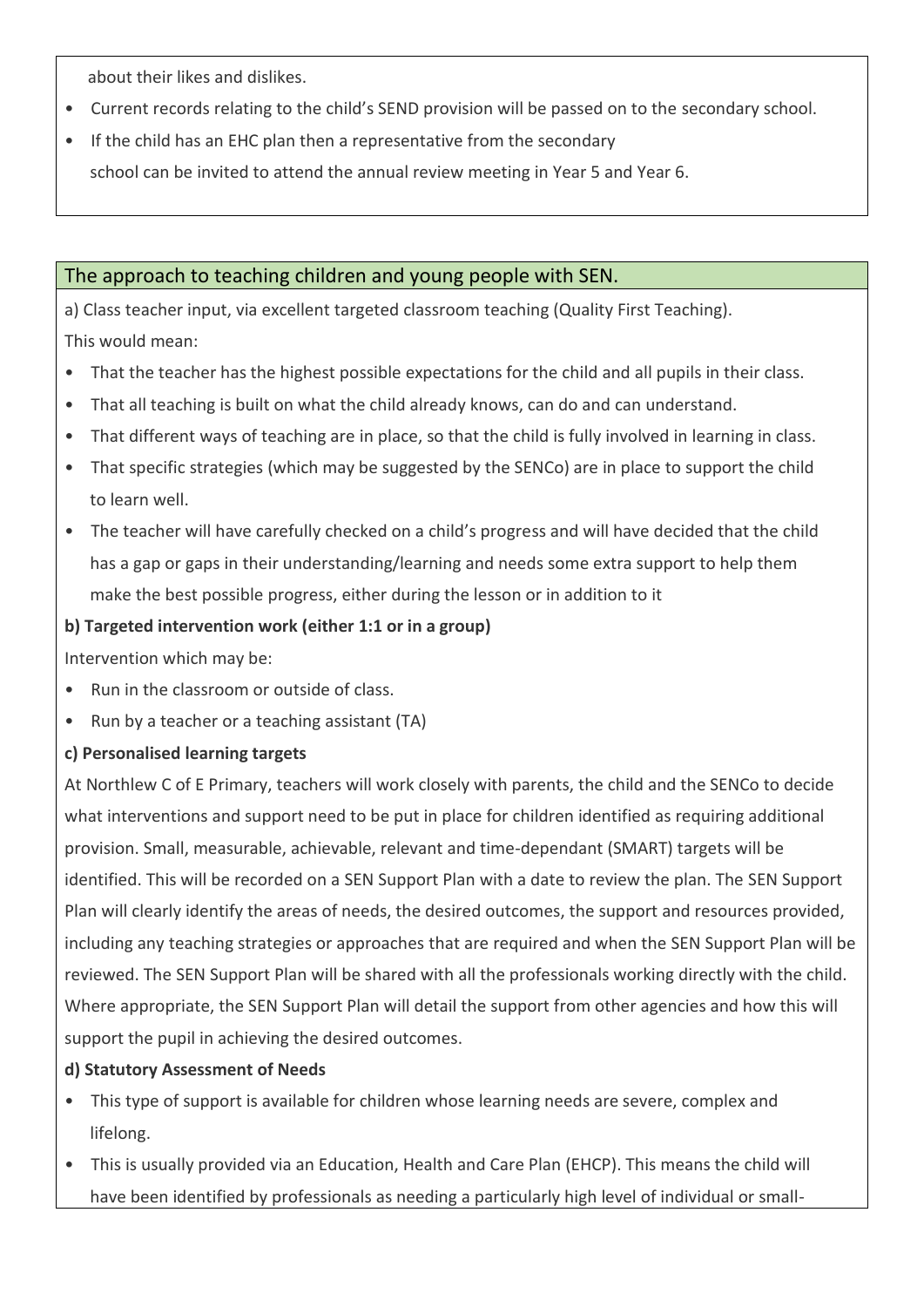about their likes and dislikes.

- Current records relating to the child's SEND provision will be passed on to the secondary school.
- If the child has an EHC plan then a representative from the secondary

school can be invited to attend the annual review meeting in Year 5 and Year 6.

### The approach to teaching children and young people with SEN.

a) Class teacher input, via excellent targeted classroom teaching (Quality First Teaching). This would mean:

- That the teacher has the highest possible expectations for the child and all pupils in their class.
- That all teaching is built on what the child already knows, can do and can understand.
- That different ways of teaching are in place, so that the child is fully involved in learning in class.
- That specific strategies (which may be suggested by the SENCo) are in place to support the child to learn well.
- The teacher will have carefully checked on a child's progress and will have decided that the child has a gap or gaps in their understanding/learning and needs some extra support to help them make the best possible progress, either during the lesson or in addition to it

#### **b) Targeted intervention work (either 1:1 or in a group)**

Intervention which may be:

- Run in the classroom or outside of class.
- Run by a teacher or a teaching assistant (TA)

#### **c) Personalised learning targets**

At Northlew C of E Primary, teachers will work closely with parents, the child and the SENCo to decide what interventions and support need to be put in place for children identified as requiring additional provision. Small, measurable, achievable, relevant and time-dependant (SMART) targets will be identified. This will be recorded on a SEN Support Plan with a date to review the plan. The SEN Support Plan will clearly identify the areas of needs, the desired outcomes, the support and resources provided, including any teaching strategies or approaches that are required and when the SEN Support Plan will be reviewed. The SEN Support Plan will be shared with all the professionals working directly with the child. Where appropriate, the SEN Support Plan will detail the support from other agencies and how this will support the pupil in achieving the desired outcomes.

#### **d) Statutory Assessment of Needs**

- This type of support is available for children whose learning needs are severe, complex and lifelong.
- This is usually provided via an Education, Health and Care Plan (EHCP). This means the child will have been identified by professionals as needing a particularly high level of individual or small-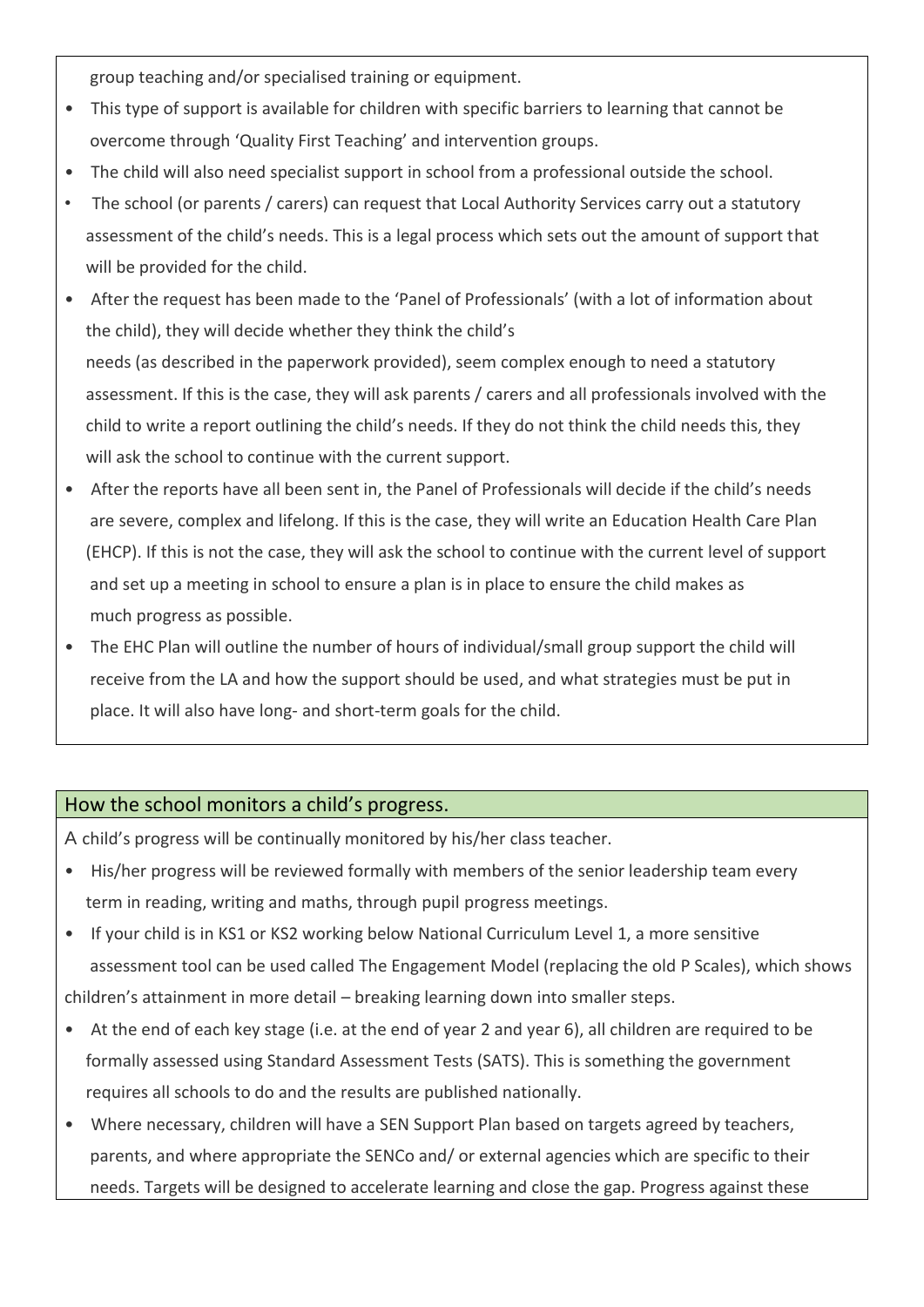group teaching and/or specialised training or equipment.

- This type of support is available for children with specific barriers to learning that cannot be overcome through 'Quality First Teaching' and intervention groups.
- The child will also need specialist support in school from a professional outside the school.
- The school (or parents / carers) can request that Local Authority Services carry out a statutory assessment of the child's needs. This is a legal process which sets out the amount of support that will be provided for the child.
- After the request has been made to the 'Panel of Professionals' (with a lot of information about the child), they will decide whether they think the child's needs (as described in the paperwork provided), seem complex enough to need a statutory assessment. If this is the case, they will ask parents / carers and all professionals involved with the child to write a report outlining the child's needs. If they do not think the child needs this, they will ask the school to continue with the current support.
- After the reports have all been sent in, the Panel of Professionals will decide if the child's needs are severe, complex and lifelong. If this is the case, they will write an Education Health Care Plan (EHCP). If this is not the case, they will ask the school to continue with the current level of support and set up a meeting in school to ensure a plan is in place to ensure the child makes as much progress as possible.
- The EHC Plan will outline the number of hours of individual/small group support the child will receive from the LA and how the support should be used, and what strategies must be put in place. It will also have long- and short-term goals for the child.

### How the school monitors a child's progress.

A child's progress will be continually monitored by his/her class teacher.

- His/her progress will be reviewed formally with members of the senior leadership team every term in reading, writing and maths, through pupil progress meetings.
- If your child is in KS1 or KS2 working below National Curriculum Level 1, a more sensitive assessment tool can be used called The Engagement Model (replacing the old P Scales), which shows children's attainment in more detail – breaking learning down into smaller steps.
- At the end of each key stage (i.e. at the end of year 2 and year 6), all children are required to be formally assessed using Standard Assessment Tests (SATS). This is something the government requires all schools to do and the results are published nationally.
- Where necessary, children will have a SEN Support Plan based on targets agreed by teachers, parents, and where appropriate the SENCo and/ or external agencies which are specific to their needs. Targets will be designed to accelerate learning and close the gap. Progress against these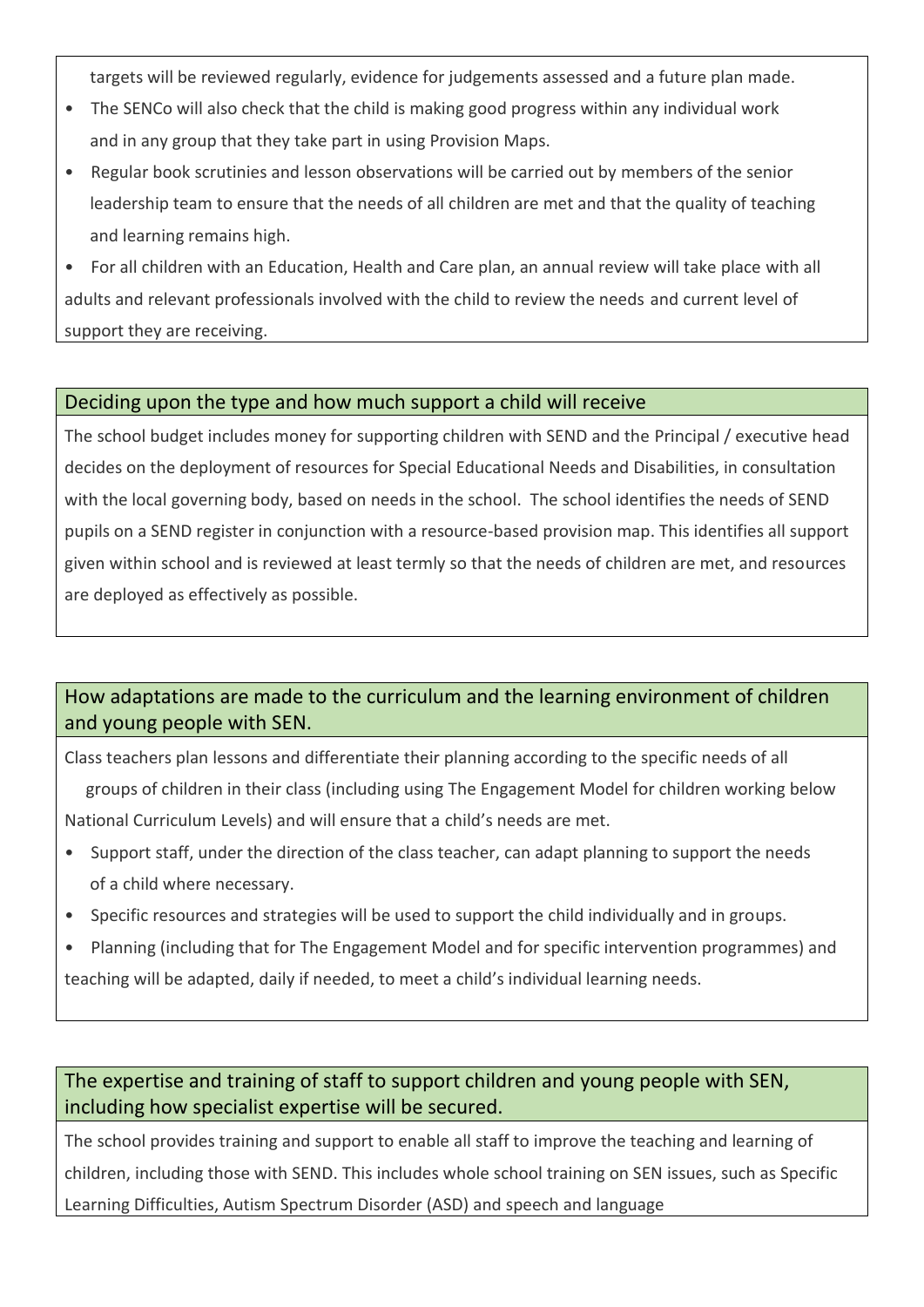targets will be reviewed regularly, evidence for judgements assessed and a future plan made.

- The SENCo will also check that the child is making good progress within any individual work and in any group that they take part in using Provision Maps.
- Regular book scrutinies and lesson observations will be carried out by members of the senior leadership team to ensure that the needs of all children are met and that the quality of teaching and learning remains high.

• For all children with an Education, Health and Care plan, an annual review will take place with all adults and relevant professionals involved with the child to review the needs and current level of support they are receiving.

#### Deciding upon the type and how much support a child will receive

The school budget includes money for supporting children with SEND and the Principal / executive head decides on the deployment of resources for Special Educational Needs and Disabilities, in consultation with the local governing body, based on needs in the school. The school identifies the needs of SEND pupils on a SEND register in conjunction with a resource-based provision map. This identifies all support given within school and is reviewed at least termly so that the needs of children are met, and resources are deployed as effectively as possible.

## How adaptations are made to the curriculum and the learning environment of children and young people with SEN.

Class teachers plan lessons and differentiate their planning according to the specific needs of all

 groups of children in their class (including using The Engagement Model for children working below National Curriculum Levels) and will ensure that a child's needs are met.

- Support staff, under the direction of the class teacher, can adapt planning to support the needs of a child where necessary.
- Specific resources and strategies will be used to support the child individually and in groups.
- Planning (including that for The Engagement Model and for specific intervention programmes) and teaching will be adapted, daily if needed, to meet a child's individual learning needs.

### The expertise and training of staff to support children and young people with SEN, including how specialist expertise will be secured.

The school provides training and support to enable all staff to improve the teaching and learning of children, including those with SEND. This includes whole school training on SEN issues, such as Specific Learning Difficulties, Autism Spectrum Disorder (ASD) and speech and language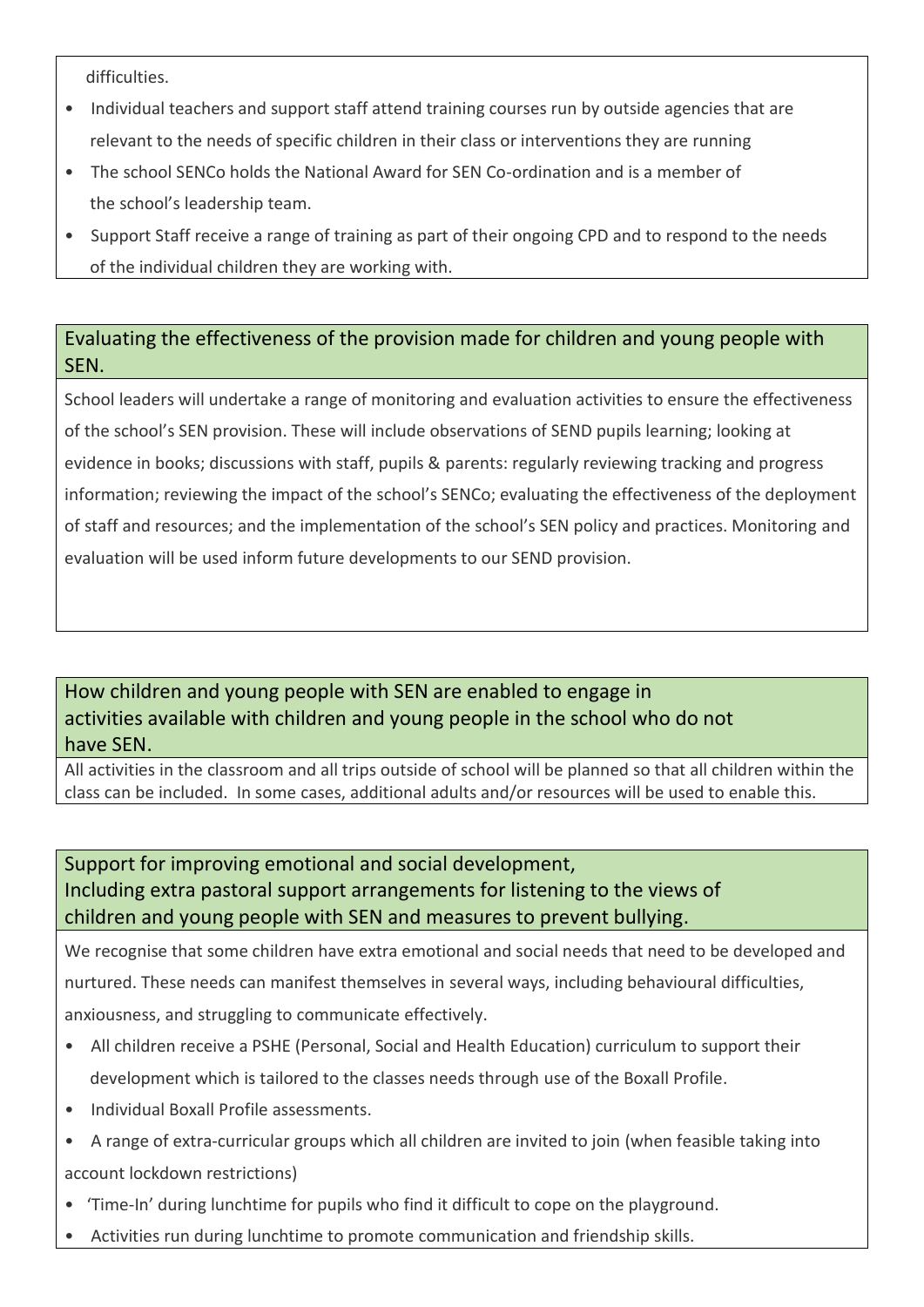difficulties.

- Individual teachers and support staff attend training courses run by outside agencies that are relevant to the needs of specific children in their class or interventions they are running
- The school SENCo holds the National Award for SEN Co-ordination and is a member of the school's leadership team.
- Support Staff receive a range of training as part of their ongoing CPD and to respond to the needs of the individual children they are working with.

# Evaluating the effectiveness of the provision made for children and young people with SEN.

School leaders will undertake a range of monitoring and evaluation activities to ensure the effectiveness of the school's SEN provision. These will include observations of SEND pupils learning; looking at evidence in books; discussions with staff, pupils & parents: regularly reviewing tracking and progress information; reviewing the impact of the school's SENCo; evaluating the effectiveness of the deployment of staff and resources; and the implementation of the school's SEN policy and practices. Monitoring and evaluation will be used inform future developments to our SEND provision.

# How children and young people with SEN are enabled to engage in activities available with children and young people in the school who do not have SEN.

All activities in the classroom and all trips outside of school will be planned so that all children within the class can be included. In some cases, additional adults and/or resources will be used to enable this.

# Support for improving emotional and social development, Including extra pastoral support arrangements for listening to the views of children and young people with SEN and measures to prevent bullying.

We recognise that some children have extra emotional and social needs that need to be developed and nurtured. These needs can manifest themselves in several ways, including behavioural difficulties, anxiousness, and struggling to communicate effectively.

- All children receive a PSHE (Personal, Social and Health Education) curriculum to support their development which is tailored to the classes needs through use of the Boxall Profile.
- Individual Boxall Profile assessments.
- A range of extra-curricular groups which all children are invited to join (when feasible taking into account lockdown restrictions)
- 'Time-In' during lunchtime for pupils who find it difficult to cope on the playground.
- Activities run during lunchtime to promote communication and friendship skills.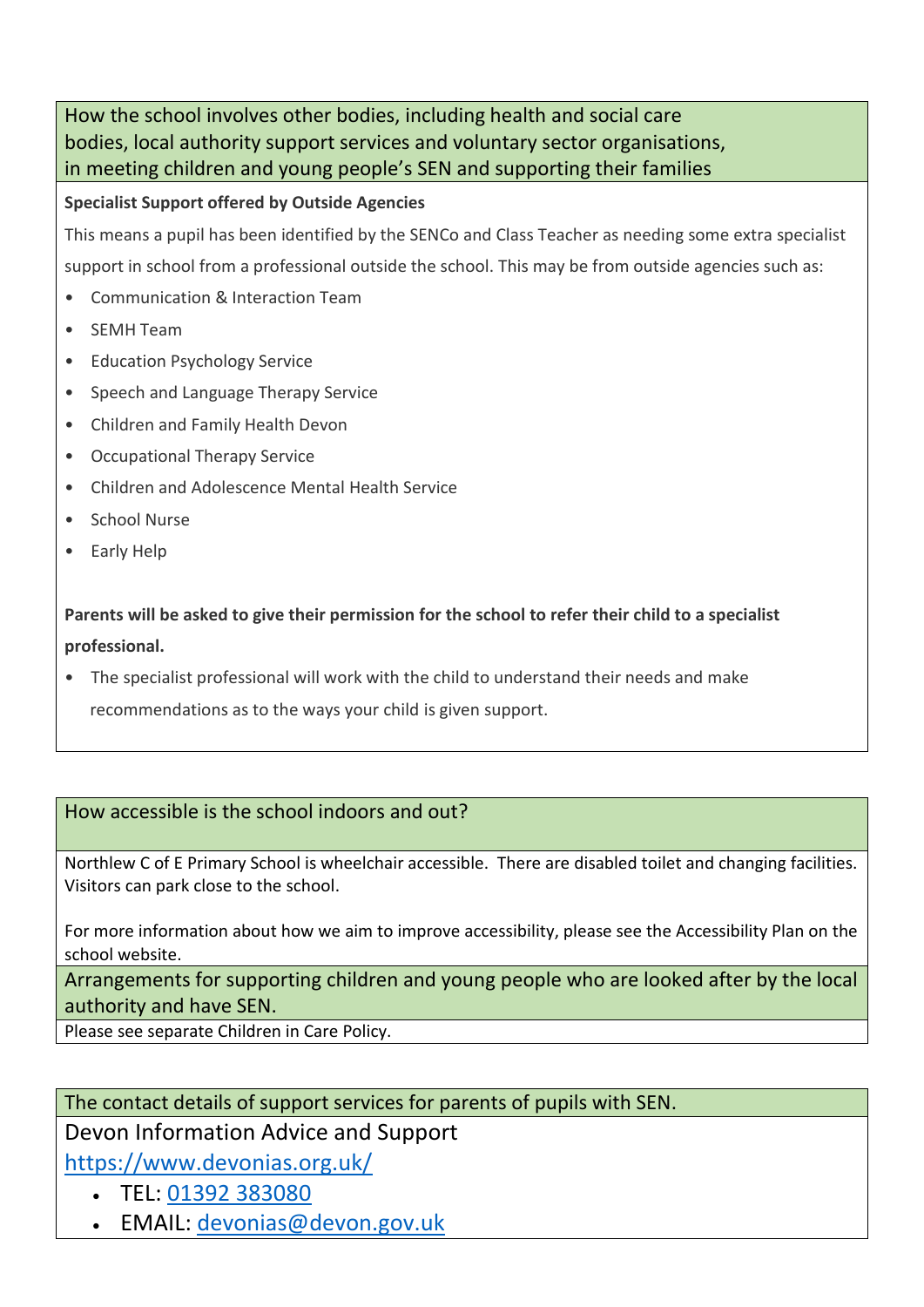How the school involves other bodies, including health and social care bodies, local authority support services and voluntary sector organisations, in meeting children and young people's SEN and supporting their families

### **Specialist Support offered by Outside Agencies**

This means a pupil has been identified by the SENCo and Class Teacher as needing some extra specialist support in school from a professional outside the school. This may be from outside agencies such as:

- Communication & Interaction Team
- SEMH Team
- Education Psychology Service
- Speech and Language Therapy Service
- Children and Family Health Devon
- Occupational Therapy Service
- Children and Adolescence Mental Health Service
- School Nurse
- Early Help

**Parents will be asked to give their permission for the school to refer their child to a specialist professional.**

• The specialist professional will work with the child to understand their needs and make recommendations as to the ways your child is given support.

# How accessible is the school indoors and out?

Northlew C of E Primary School is wheelchair accessible. There are disabled toilet and changing facilities. Visitors can park close to the school.

For more information about how we aim to improve accessibility, please see the Accessibility Plan on the school website.

Arrangements for supporting children and young people who are looked after by the local authority and have SEN.

Please see separate Children in Care Policy.

### The contact details of support services for parents of pupils with SEN.

# Devon Information Advice and Support

<https://www.devonias.org.uk/>

- TEL: [01392 383080](tel:01392383080)
- EMAIL: [devonias@devon.gov.uk](mailto:devonias@devon.gov.uk)